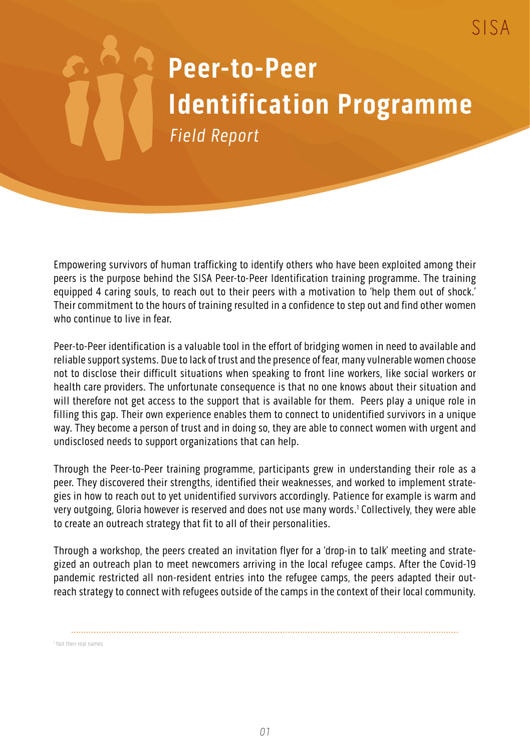## **Peer-to-Peer Identification Programme** Field Report

 $SISA$ 

Empowering survivors of human trafficking to identify others who have been exploited among their peers is the purpose behind the SISA Peer-to-Peer Identification training programme. The training equipped 4 caring souls, to reach out to their peers with a motivation to 'help them out of shock.' Their commitment to the hours of training resulted in a confidence to step out and find other women who continue to live in fear.

Peer-to-Peer identification is a valuable tool in the effort of bridging women in need to available and reliable support systems. Due to lack of trust and the presence of fear, many vulnerable women choose not to disclose their difficult situations when speaking to front line workers, like social workers or health care providers. The unfortunate consequence is that no one knows about their situation and will therefore not get access to the support that is available for them. Peers play a unique role in filling this gap. Their own experience enables them to connect to unidentified survivors in a unique way. They become a person of trust and in doing so, they are able to connect women with urgent and undisclosed needs to support organizations that can help.

Through the Peer-to-Peer training programme, participants grew in understanding their role as a peer. They discovered their strengths, identified their weaknesses, and worked to implement strategies in how to reach out to yet unidentified survivors accordingly. Patience for example is warm and very outgoing, Gloria however is reserved and does not use many words.<sup>1</sup> Collectively, they were able to create an outreach strategy that fit to all of their personalities.

Through a workshop, the peers created an invitation flyer for a 'drop-in to talk' meeting and strategized an outreach plan to meet newcomers arriving in the local refugee camps. After the Covid-19 pandemic restricted all non-resident entries into the refugee camps, the peers adapted their outreach strategy to connect with refugees outside of the camps in the context of their local community.

1 Not their real names